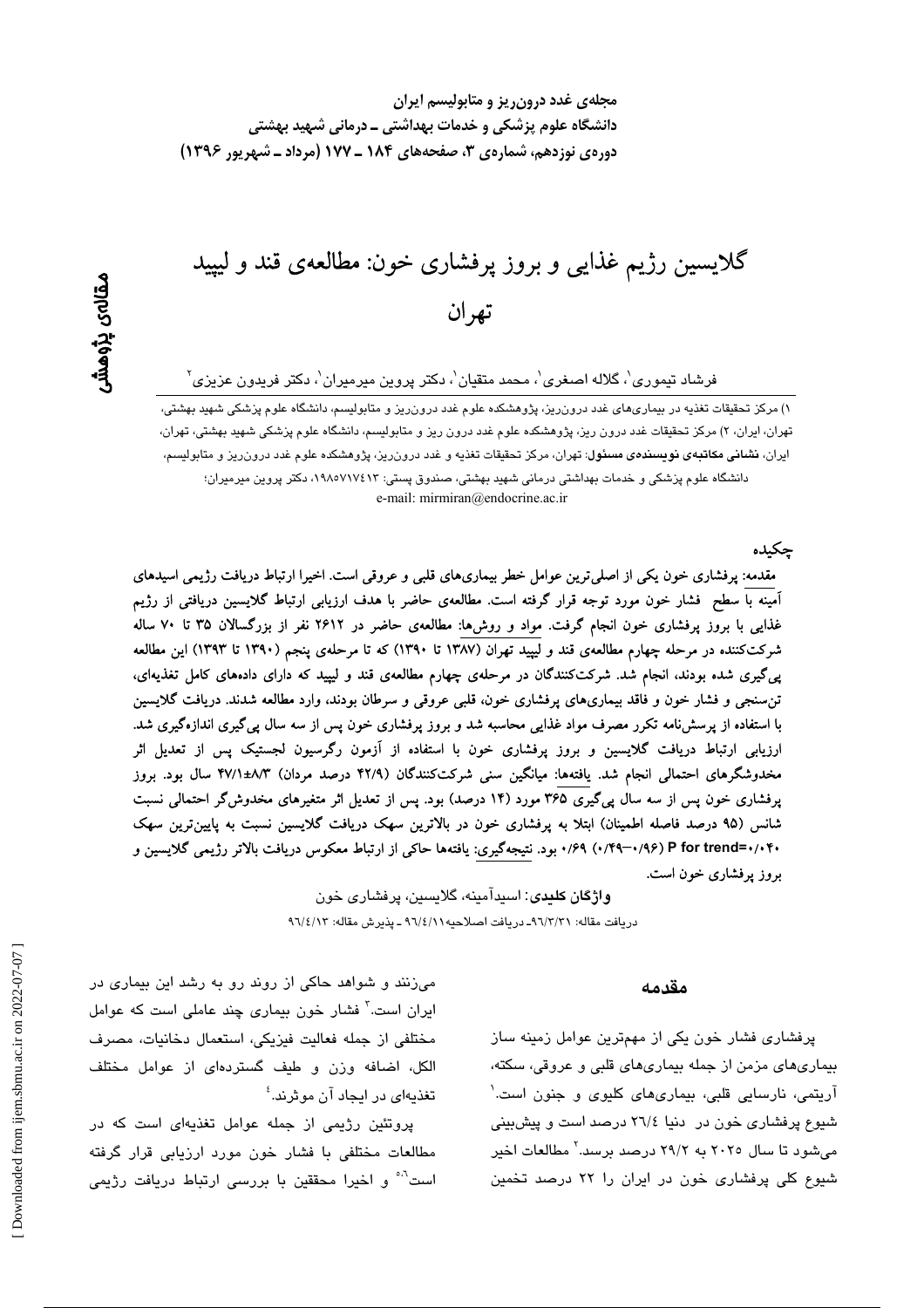گلايسين رژيم غذايي و بروز پرفشاري خون: مطالعهي قند و ليپيد تھر ان

فرشاد تیموری'، گلاله اصغری'، محمد متقیان'، دکتر پروین میرمیران'، دکتر فریدون عزیزی<sup>۲</sup>

۱) مرکز تحقیقات تغذیه در بیماریهای غدد درون ریز، پژوهشکده علوم غدد درون ریز و متابولیسم، دانشگاه علوم پزشکی شهید بهشتی، تهران، ایران، ۲) مرکز تحقیقات غدد درون ریز، پژوهشکده علوم غدد درون ریز و متابولیسم، دانشگاه علوم پزشکی شهید بهشتی، تهران، ایران، **نشانی مکاتبهی نویسند***هی* **مسئول**: تهران، مرکز تحقیقات تغذیه و غدد درونریز، پژوهشکده علوم غدد درونریز و متابولیسم، دانشگاه علوم پزشکی و خدمات بهداشتی درمانی شهید بهشتی، صندوق پستی: ۱۹۸۰٬۷۱۷٤۱۳ دکتر پروین میرمیران؛ e-mail: mirmiran@endocrine.ac.ir

جكىدە

مقدمه: پرفشاری خون یکی از اصلی ترین عوامل خطر بیماریهای قلبی و عروقی است. اخیرا ارتباط دریافت رژیمی اسیدهای آمینه با سطح فشار خون مورد توجه قرار گرفته است. مطالعهی حاضر با هدف ارزیابی ارتباط گلایسین دریافتی از رژیم غذایی با بروز پرفشاری خون انجام گرفت. مواد و روشها: مطالعهی حاضر در ۲۶۱۲ نفر از بزرگسالان ۳۵ تا ۷۰ ساله شرکتکننده در مرحله چهارم مطالعهی قند و لیپید تهران (۱۳۸۷ تا ۱۳۹۰) که تا مرحلهی پنجم (۱۳۹۰ تا ۱۳۹۳) این مطالعه پیگیری شده بودند، انجام شد. شرکتکنندگان در مرحلهی چهارم مطالعهی قند و لیپید که دارای دادههای کامل تغذیهای، تن سنجی و فشار خون و فاقد بیماریهای پرفشاری خون، قلبی عروقی و سرطان بودند، وارد مطالعه شدند. دریافت گلایسین با استفاده از پرسشنامه تکرر مصرف مواد غذایی محاسبه شد و بروز پرفشاری خون پس از سه سال پیگیری اندازهگیری شد. ارزیابی ارتباط دریافت گلایسین و بروز پرفشاری خون با استفاده از آزمون رگرسیون لجستیک پس از تعدیل اثر مخدوشگرهای احتمالی انجام شد. یافتهها: میانگین سنی شرکتکنندگان (۴۲/۹ درصد مردان) ۸/۳±۴۷/۱ سال بود. بروز پرفشاری خون پس از سه سال پیگیری ۳۶۵ مورد (۱۴ درصد) بود. پس از تعدیل اثر متغیرهای مخدوشگر احتمالی نسبت شانس (۹۵ درصد فاصله اطمینان) ابتلا به پرفشاری خون در بالاترین سهک دریافت گلایسین نسبت به پایینترین سهک ۰/۰۴۰=P for trend (۰/۹۶–۰/۴۹) ۰/۶۹ بود. نتیجهگیری: یافتهها حاکمی از ارتباط معکوس دریافت بالاتر رژیمی گلایسین و بروز پرفشاری خون است.

> واژگان کليدي: اسيدآمينه، گلايسين، پرفشاري خون دريافت مقاله: ٩٦/٣/٣١- دريافت اصلاحيه ٩٦/٤/١١ - يذيرش مقاله: ٩٦/٤/١٣

#### مقدمه

پرفشاری فشار خون یکی از مهمترین عوامل زمینه ساز بیماریهای مزمن از جمله بیماریهای قلبی و عروقی، سکته، آریتمی، نارسایی قلبی، بیماری۵ای کلیوی و جنون است.<sup>۱</sup> شیوع پرفشاری خون در دنیا ٢٦/٤ درصد است و پیشبینی می شود تا سال ۲۰۲٥ به ۲۹/۲ درصد برسد.<sup>۲</sup> مطالعات اخیر شیوع کلی پرفشاری خون در ایران را ۲۲ درصد تخمین

میزنند و شواهد حاکی از روند رو به رشد این بیماری در ایران است.<sup>۳</sup> فشار خون بیماری چند عاملی است که عوامل مختلفی از جمله فعالیت فیزیکی، استعمال دخانیات، مصرف الكل، اضافه وزن و طيف گستردهای از عوامل مختلف تغذیهای در ایجاد آن موثرند.<sup>؛</sup>

پروتئین رژیمی از جمله عوامل تغذیهای است که در مطالعات مختلفی با فشار خون مورد ارزیابی قرار گرفته است<sup>ہ،</sup> و اخیرا محققین با بررسی ارتباط دریافت رژی*می*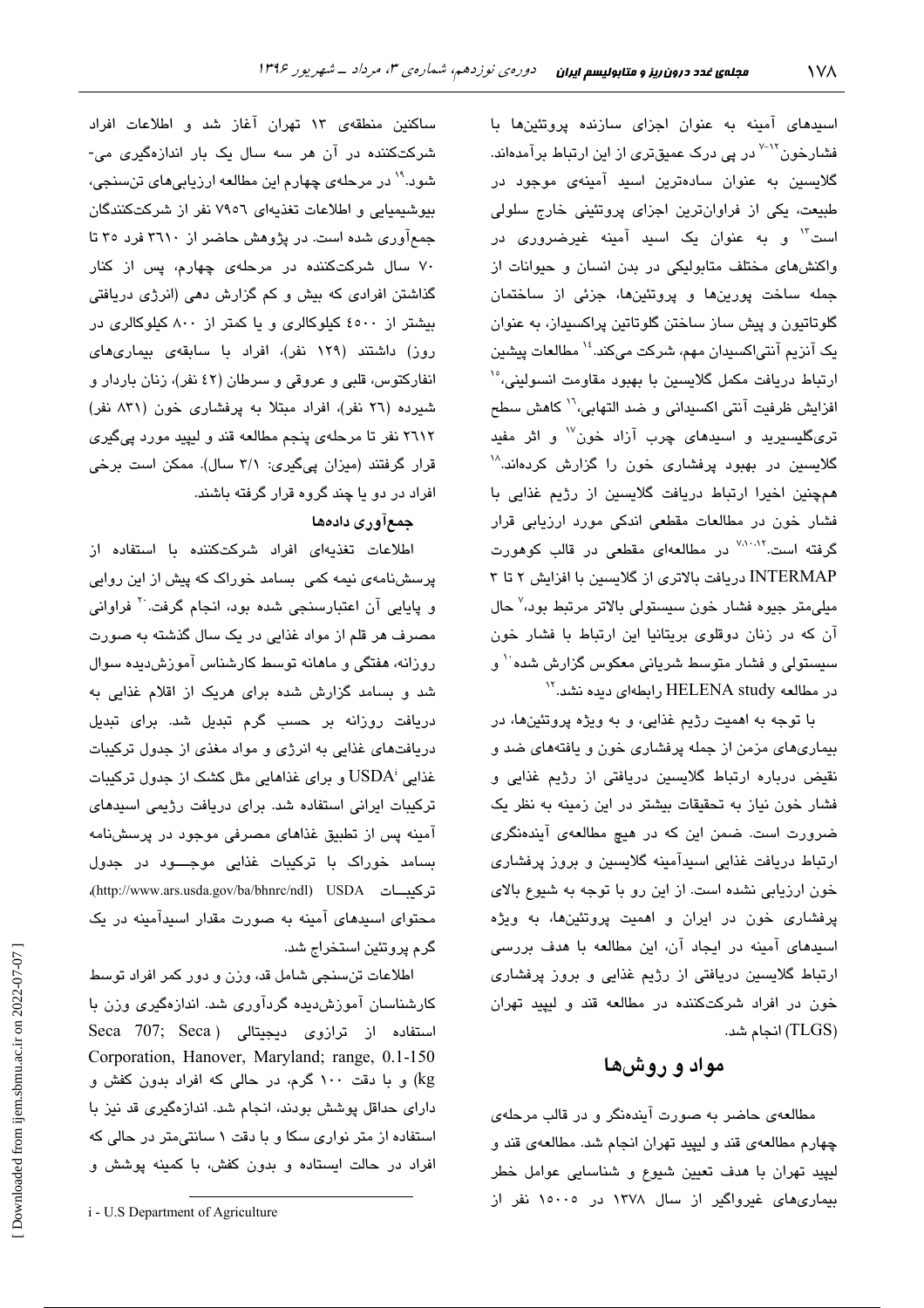اسید*ه*ای آمینه به عنوان اجزای سازنده پروتئینها با فشارخون<sup>۲۰۱۷</sup> در پی درک عمیقتر*ی* از این ارتباط برآمدهاند. گلایسین به عنوان سادهترین اسید آمینه*ی* موجود در طبیعت، یکی از فراوانترین اجزای پروتئینی خارج سلولی است" و به عنوان یک اسید آمینه غیرضرور*ی* در واکنشهای مختلف متابولیکی در بدن انسان و حیوانات از جمله ساخت پورینها و پروتئینها، جزئی از ساختمان گلوتاتیون و پیش ساز ساختن گلوتاتین پراکسیداز، به عنوان یک آنزیم آنتی|کسیدان مهم، شرکت میکند.<sup>۱۶</sup> مطالعات پیشین ارتباط دریافت مکمل گلایسین با بهبود مقاومت انسولینی، ۱٬ افزايش ظرفيت آنتي اكسيداني و ضد التهابي،<sup>١٦</sup> كاهش سطح تریگلیسیرید و اسیدهای چرب آزاد خون<sup>۷۷</sup> و اثر مفید گلایسین در بهبود پرفشاری خون را گزارش کردهاند.<sup>۱۸</sup> همچنین اخیرا ارتباط دریافت گلایسین از رژیم غذایی با فشار خون در مطالعات مقطعی اندکی مورد ارزیابی قرار گرفته است.<sup>۷٬۱۰۸۲</sup> در مطالعهای مقطعی در قالب کوهورت INTERMAP دریافت بالاتری از گلایسین با افزایش ۲ تا ۳ ميلي،متر جيوه فشار خون سيستولي بالاتر مرتبط بود،<sup>٧</sup> حال آن که در زنان دوقلوی بریتانیا این ارتباط با فشار خون سیستولی و فشار متوسط شریانی معکوس گزارش شده `` و در مطالعه HELENA study رابطهای دیده نشد. ``

با توجه به اهمیت رژیم غذایی، و به ویژه پروتئینها، در بیماریهای مزمن از جمله پرفشاری خون و یافتههای ضد و نقیض درباره ارتباط گلایسین دریافتی از رژیم غذایی و فشار خون نیاز به تحقیقات بیشتر در این زمینه به نظر یک ضرورت است. ضمن این که در هیچ مطالعهی آیندهنگری ارتباط دریافت غذایی اسیدآمینه گلایسین و بروز پرفشاری خون ارزیابی نشده است. از این رو با توجه به شیوع بالای پرفشاری خون در ایران و اهمیت پروتئینها، به ویژه اسپدهای آمینه در ایجاد آن، این مطالعه با هدف بررسی ارتباط گلایسین دریافتی از رژیم غذایی و بروز پرفشاری خون در افراد شرکتکننده در مطالعه قند و لیپید تهران (TLGS) انجام شد.

## مواد و روشها

مطالعهی حاضر به صورت آیندهنگر و در قالب مرحلهی چهارم مطالعهى قند و ليپيد تهران انجام شد. مطالعهى قند و ليپيد تهران با هدف تعيين شيوع و شناسايي عوامل خطر بیماریهای غیرواگیر از سال ۱۳۷۸ در ۱۰۰۰۰ نفر از

ساکنین منطقهی ۱۳ تهران آغاز شد و اطلاعات افراد شرکتکننده در آن هر سه سال یک بار اندازهگیری می-شود.<sup>۱۹</sup> در مرحلهی چهارم این مطالعه ارزیابی *ه*ای تنسنجی، بیوشیمیایی و اطلاعات تغذیهای ۷۹٥٦ نفر از شرکتکنندگان جمعآوری شده است. در پژوهش حاضر از ۳۱۱۰ فرد ۳۵ تا ۷۰ سال شرکتکننده در مرحلهی چهارم، پس از کنار گذاشتن افرادی که بیش و کم گزارش دهی (انرژی دریافتی بیشتر از ٤٥٠٠ کیلوکالری و یا کمتر از ٨٠٠ کیلوکالری در روز) داشتند (۱۲۹ نفر)، افراد با سابقهی بیماریهای انفاركتوس، قلبي و عروقي و سرطان (٤٢ نفر)، زنان باردار و شیرده (٢٦ نفر)، افراد مبتلا به پرفشاری خون (٨٣١ نفر) ٢٦١٢ نفر تا مرحلهي پنجم مطالعه قند و ليپيد مورد پيگيري قرار گرفتند (میزان پیگیری: ۳/۱ سال). ممکن است برخی افراد در دو یا چند گروه قرار گرفته باشند.

## جمعآوري دادهها

اطلاعات تغذیهای افراد شرکتکننده با استفاده از پرسشنامهی نیمه کمی بسامد خوراک که پیش از این روایی و پایایی آن اعتبارسنجی شده بود، انجام گرفت<sup>. ۲</sup> فراوانی مصرف هر قلم از مواد غذایی در یک سال گذشته به صورت روزانه، هفتگی و ماهانه توسط کارشناس آموزش دیده سوال شد و بسامد گزارش شده برای هریک از اقلام غذایی به دریافت روزانه بر حسب گرم تبدیل شد. برای تبدیل دریافتهای غذایی به انرژی و مواد مغذی از جدول ترکیبات غذایی ٔ USDA و برای غذاهایی مثل کشک از جدول ترکیبات ترکیبات ایرانی استفاده شد. برای دریافت رژیمی اسپدهای آمینه پس از تطبیق غذاهای مصرفی موجود در پرسشنامه بسامد خوراک با ترکیبات غذایی موجـــود در جدول تركيبات USDA (http://www.ars.usda.gov/ba/bhnrc/ndl) محتوای اسیدهای آمینه به صورت مقدار اسیدآمینه در یک گرم پروتئين استخراج شد.

اطلاعات تنسنجی شامل قد، وزن و دور کمر افراد توسط کارشناسان آموزش دیده گردآوری شد. اندازهگیری وزن با Seca 707; Seca) استفاده از ترازوی دیجیتالی (Seca 707; Seca Corporation, Hanover, Maryland; range, 0.1-150 kg) و با دقت ١٠٠ گرم، در حالي كه افراد بدون كفش و دارای حداقل پوشش بودند، انجام شد. اندازهگیری قد نیز با استفاده از متر نواری سکا و با دقت ۱ سانتی متر در حالی که افراد در حالت ایستاده و بدون کفش، با کمینه پوشش و

i - U.S Department of Agriculture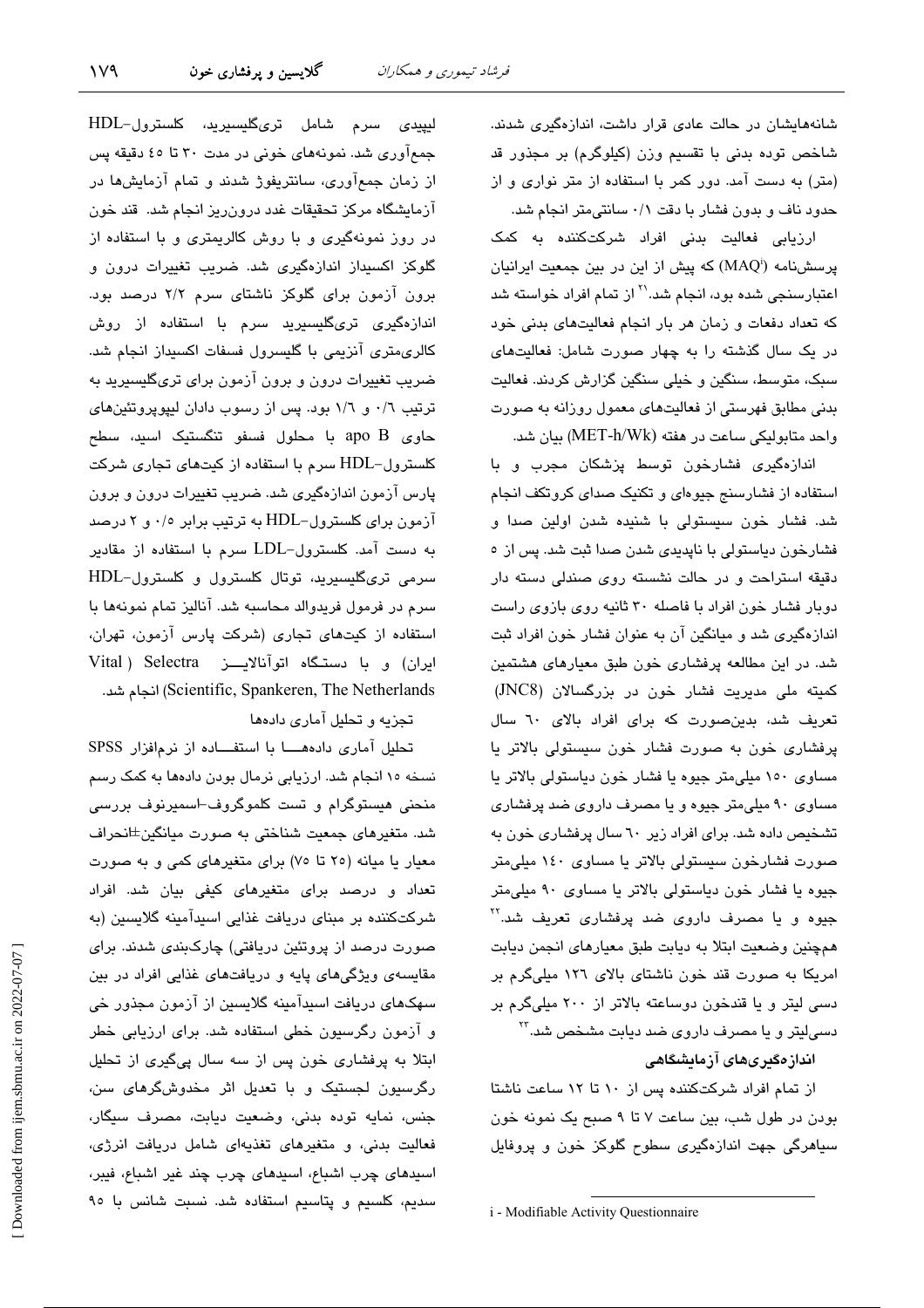شانههایشان در حالت عادی قرار داشت، اندازهگیری شدند. شاخص توده بدنی با تقسیم وزن (کیلوگرم) بر مجذور قد (متر) به دست آمد. دور کمر با استفاده از متر نواری و از حدود ناف و بدون فشار با دقت ۰/۱ سانتیمتر انجام شد.

ارزیابی فعالیت بدنی افراد شرکتکننده به کمک پرسشنامه (MAQ) که پیش از این در بین جمعیت ایرانیان اعتبارسنجی شده بود، انجام شد.'` از تمام افراد خواسته شد که تعداد دفعات و زمان هر بار انجام فعالیتهای بدنی خود در یک سال گذشته را به چهار صورت شامل: فعالیتهای سبک، متوسط، سنگین و خیلی سنگین گزارش کردند. فعالیت بدنی مطابق فهرستی از فعالیتهای معمول روزانه به صورت واحد متابولیکی ساعت در هفته (MET-h/Wk) بیان شد.

اندازهگیری فشارخون توسط پزشکان مجرب و با استفاده از فشارسنج جیوهای و تکنیک صدای کروتکف انجام شد. فشار خون سيستولى با شنيده شدن اولين صدا و فشارخون دیاستولی با ناپدیدی شدن صدا ثبت شد. پس از ٥ دقیقه استراحت و در حالت نشسته روی صندلی دسته دار دوبار فشار خون افراد با فاصله ۳۰ ثانیه روی بازوی راست اندازهگیری شد و میانگین آن به عنوان فشار خون افراد ثبت شد. در این مطالعه پرفشاری خون طبق معیارهای هشتمین کمیته ملی مدیریت فشار خون در بزرگسالان (JNC8) تعریف شد، بدین صورت که برای افراد بالای ٦٠ سال پرفشاری خون به صورت فشار خون سیستولی بالاتر یا مساوی ١٥٠ ميلي متر جيوه يا فشار خون دياستولي بالاتر يا مساوی ۹۰ میلی متر جیوه و یا مصرف داروی ضد پرفشاری تشخیص داده شد. برای افراد زیر ٦٠ سال پرفشاری خون به صورت فشارخون سیستولی بالاتر یا مساوی ۱٤۰ میلی متر جیوه یا فشار خون دیاستولی بالاتر یا مساوی ۹۰ میلی متر جیوه و یا مصرف دارو*ی* ضد پرفشار*ی* تعریف شد.<sup>۲۲</sup> همچنین وضعیت ابتلا به دیابت طبق معیارهای انجمن دیابت امریکا به صورت قند خون ناشتای بالای ۱۲٦ میلیگرم بر دسی لیتر و یا قندخون دوساعته بالاتر از ۲۰۰ میلیگرم بر دسی!**ی**تر و یا مصرف دارو*ی* ضد دیابت مشخص شد.<sup>۲۲</sup>

اندازەگىرىھاى آزمايشىگاھى

از تمام افراد شركتكننده پس از ١٠ تا ١٢ ساعت ناشتا بودن در طول شب، بين ساعت ٧ تا ٩ صبح يک نمونه خون سیاهرگی جهت اندازهگیری سطوح گلوکز خون و پروفایل

i - Modifiable Activity Questionnaire

ليپيدى سرم شامل ترىگليسىريد، كلسترول-HDL جمعآوری شد. نمونههای خونی در مدت ۳۰ تا ٤٥ دقیقه پس از زمان جمعآوری، سانتریفوژ شدند و تمام آزمایشها در آزمایشگاه مرکز تحقیقات غدد درونریز انجام شد. قند خون در روز نمونهگیری و با روش کالریمتری و با استفاده از گلوکز اکسیداز اندازهگیری شد. ضریب تغییرات درون و برون آزمون برای گلوکز ناشتای سرم ۲/۲ درصد بود. اندازهگیری تریگلیسیرید سرم با استفاده از روش كالرىمترى آنزيمى با گليسرول فسفات اكسيداز انجام شد. ضریب تغییرات درون و برون آزمون برا*ی* تریگلیسیرید به ترتیب ٠/٦ و ١/٦ بود. پس از رسوب دادان لیپوپروتئینهای حاوی apo B با محلول فسفو تنگستیک اسید، سطح کلسترول-HDL سرم با استفاده از کیتهای تجاری شرکت پارس آزمون اندازهگیری شد. ضریب تغییرات درون و برون آزمون برای کلسترول–HDL به ترتیب برابر ۰/۰ و ۲ درصد به دست آمد. کلسترول-LDL سرم با استفاده از مقادیر سرمی تریگلیسیرید، توتال کلسترول و کلسترول-HDL سرم در فرمول فریدوالد محاسبه شد. آنالیز تمام نمونهها با استفاده از کیتهای تجاری (شرکت پارس آزمون، تهران، ایران) و با دستگاه اتوآنالایــز Vital ) Selectra (Scientific, Spankeren, The Netherlands) انجام شد.

تجزیه و تحلیل آمار*ی* دادهها

تحلیل آماری دادهها با استفاده از نرمافزار SPSS نسخه ۱۰ انجام شد. ارزیابی نرمال بودن دادهها به کمک رسم منحنی هیستوگرام و تست کلموگروف-اسمیرنوف بررسی شد. متغیرهای جمعیت شناختی به صورت میانگین±انحراف معیار یا میانه (٢٥ تا ٧٥) برای متغیرهای کمی و به صورت تعداد و درصد برای متغیرهای کیفی بیان شد. افراد شرکتکننده بر مبنای دریافت غذایی اسیدآمینه گلایسین (به صورت درصد از پروتئین دریافتی) چارکېندی شدند. برای مقایسهی ویژگیهای پایه و دریافتهای غذایی افراد در بین سهکهای دریافت اسیدآمینه گلایسین از آزمون مجذور خی و آزمون رگرسیون خطی استفاده شد. برای ارزیابی خطر ابتلا به پرفشاری خون پس از سه سال پیگیری از تحلیل رگرسیون لجستیک و با تعدیل اثر مخدوشگرهای سن، جنس، نمایه توده بدنی، وضعیت دیابت، مصرف سیگار، فعالیت بدنی، و متغیرهای تغذیهای شامل دریافت انرژی، اسيدهاى چرب اشباع، اسيدهاى چرب چند غير اشباع، فيبر، سديم، كلسيم و پتاسيم استفاده شد. نسبت شانس با ٩٥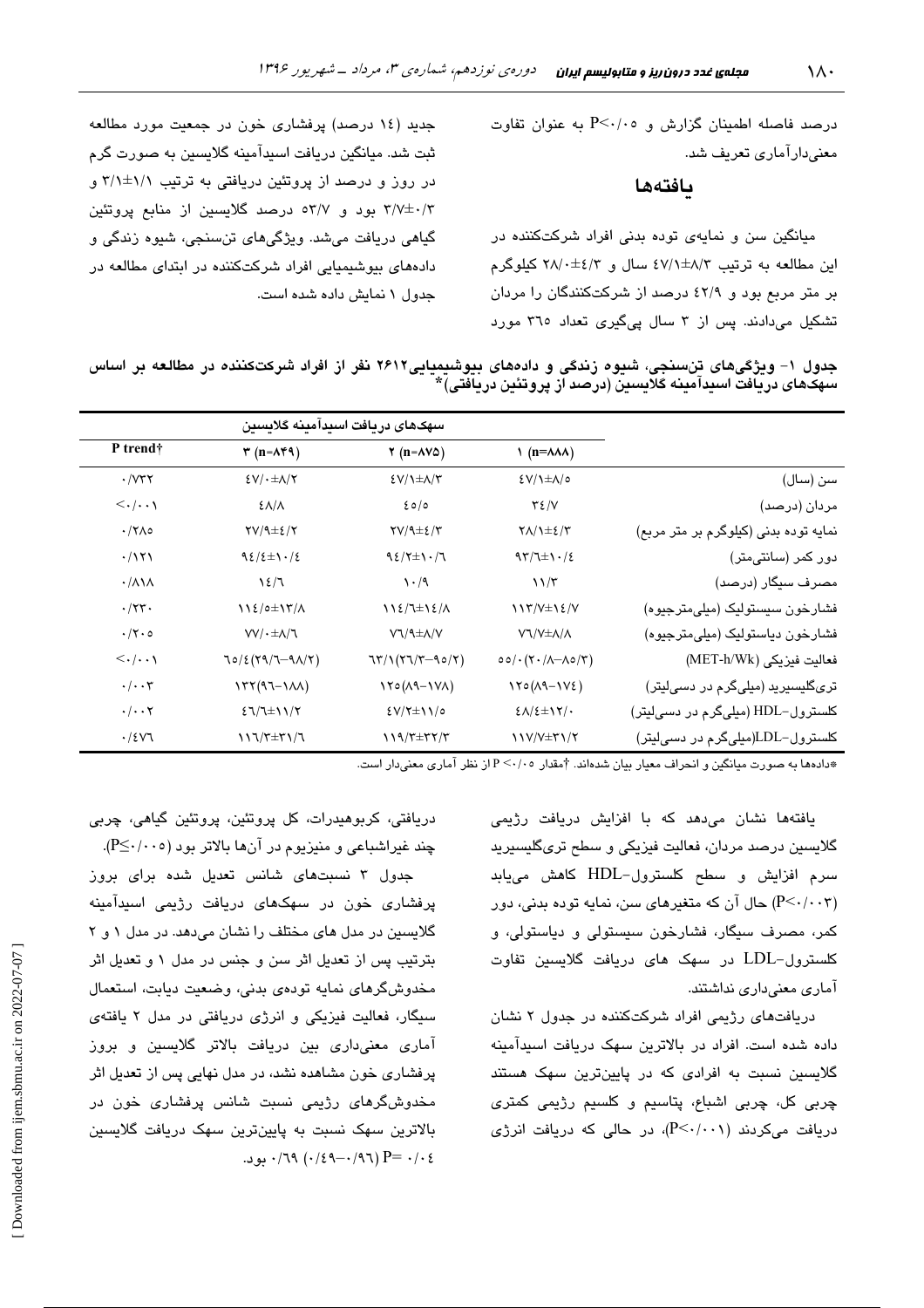$P<\cdot/\cdot$ ه درصد فاصله اطمینان گزارش و ه $P<\cdot/\cdot$  به عنوان تفاوت معنی،دارآماری تعریف شد.

#### بافتهها

میانگین سن و نمایهی توده بدنی افراد شرکتکننده در این مطالعه به ترتیب ۵۷/۱±۸/۳ سال و ۲۸/۰±۶۸/ کیلوگرم بر متر مربع بود و ٤٢/٩ درصد از شرکتکنندگان را مردان تشکیل میدادند. پس از ۳ سال ییگیری تعداد ۳۱۰ مورد

جدید (۱٤ درصد) پرفشاری خون در جمعیت مورد مطالعه ثبت شد. میانگین دریافت اسیدآمینه گلایسین به صورت گرم در روز و درصد از پروتئین دریافتی به ترتیب ۱/۱±۰/۱ و ۳/۷±۰/۳ بود و ۵۳/۷ درصد گلایسین از منابع پروتئین گياهي دريافت مي شد. ويژگي هاي تنسنجي، شيوه زندگي و دادههای بیوشیمیایی افراد شرکتکننده در ایتدای مطالعه در جدول ١ نمايش داده شده است.

جدول ۱- ویژگیهای تنسنجی، شیوه زندگی و دادههای بیوشیمیایی۲۶۱۲ نفر از افراد شرکتکننده در مطالعه بر اساس سهكهاي دريافت اسيدآمينه كلايسين (درصد از يروتئين دريافتي) \*

|                                       | سهكهاى دريافت اسيدآمينه كلايسين                                                                   |                                                   |                                                       |                                       |  |  |
|---------------------------------------|---------------------------------------------------------------------------------------------------|---------------------------------------------------|-------------------------------------------------------|---------------------------------------|--|--|
|                                       | $\eta$ (n= $\lambda\lambda\lambda$ )                                                              | $\gamma$ (n= $\Delta V\Delta$ )                   | $\mathbf{r}$ (n= $\mathbf{A} \mathbf{f} \mathbf{A}$ ) | P trend <sup>†</sup>                  |  |  |
| سن (سال)                              | $\frac{2}{\sqrt{1-\frac{1}{2}}}$                                                                  | $E(V/\text{L})\pm\text{A}/\text{T}$               | $E(V) \cdot \pm \Lambda/Y$                            | $\cdot$ / $\vee\tau\tau$              |  |  |
| مردان (درصد)                          | $Y\S$ /V                                                                                          | 20/0                                              | <b>ENA</b>                                            | $\langle \cdot   \cdot \cdot \rangle$ |  |  |
| نمایه توده بدنی (کیلوگرم بر متر مربع) | $Y\Lambda/\lambda \pm \epsilon/T$                                                                 | $\Upsilon V / \Upsilon \pm \epsilon / \Upsilon$   | $\frac{Y}{4}$                                         | $\cdot$ /۲ $\wedge$ 0                 |  |  |
| دور کمر (سانتیمتر)                    | $97/7 \pm 1.7$                                                                                    | $92/7\pm1.7$                                      | $92/2 \pm 1.7$                                        | .7171                                 |  |  |
| مصرف سیگار (درصد)                     | $\frac{1}{\sqrt{2}}$                                                                              | $\cdot$ /9                                        | 12/7                                                  | $\cdot/\lambda\lambda$                |  |  |
| فشارخون سيستوليک (ميلي،مترجيوه)       | $117/V \pm 12/V$                                                                                  | $112/7\pm12/$                                     | 112/0±1٣/٨                                            | $\cdot$ /۲۳.                          |  |  |
| فشارخون دياستوليک (ميلي،مترجيوه)      | VJ/V±A/A                                                                                          | VJ/9±A/V                                          | $VV/$ $+\Delta/T$                                     | $\cdot$ /۲۰۰                          |  |  |
| فعاليت فيزيكي (MET-h/Wk)              | $\circ \circ / \cdot (\check{\ } \cdot / \check{\ } \wedge \neg \Lambda \circ / \check{\ } \tau)$ | $77/177/7-90/7)$                                  | $70/2(79/7-91)/7)$                                    | $\langle \cdot   \cdot \cdot \rangle$ |  |  |
| تریگلیسیرید (میلیگرم در دسیلیتر)      | $170(A9-1V_{\epsilon})$                                                                           | $\lambda Y \circ (\lambda 9 - \lambda V \lambda)$ | $\Upsilon(Y(1-1)\Lambda)$                             | $\cdot/\cdot\cdot\tau$                |  |  |
| کلسترول–HDL (میلیگرم در دسیلیتر)      | $\epsilon \Lambda / \epsilon \pm 17/$                                                             | $EV/Y \pm VV$                                     | $27/7$ ±11/7                                          | $\cdot/\cdot\cdot$ $\mathsf{Y}$       |  |  |
| کلسترول–LDL(میلیگرم در دسیلیتر)       | 11V/V±۳1/۲                                                                                        | $\frac{1}{2}$                                     | $\frac{1}{\sqrt{7}}$                                  | .78V                                  |  |  |

\*دادهها به صورت میانگین و انحراف معیار بیان شدهاند. †مقدار ۴٬۰۰۵ از نظر آماری معنیدار است.

یافتهها نشان میدهد که با افزایش دریافت رژی*می* گلايسين درصد مردان، فعاليت فيزيکي و سطح تر*ی*گليسيريد سرم افزایش و سطح کلسترول-HDL کاهش میبابد (P<۰/۰۰۳) حال آن که متغیرهای سن، نمایه توده بدنی، دور کمر، مصرف سيگار، فشارخون سيستولى و دياستولى، و کلسترول–LDL در سهک های دریافت گلایسین تفاوت آماری معنیداری نداشتند.

دریافتهای رژیمی افراد شرکتکننده در جدول ۲ نشان داده شده است. افراد در بالاترین سهک دریافت اسیدآمینه گلایسین نسبت به افرادی که در پایینترین سهک هستند چربي کل، چربي اشباع، پتاسيم و کلسيم رژي*مي* کمتر*ی*  $c$ دریافت میکردند (P<۰/۰۰۱)، در حالی که دریافت انرژی

دريافتى، كربوهيدرات، كل پروتئين، پروتئين گياهى، چربى چند غیراشباعی و منیزیوم در آنها بالاتر بود (P≤٠/٠٠٥).

جدول ۳ نسبتهای شانس تعدیل شده برای بروز پرفشاری خون در سهکهای دریافت رژیمی اسپدآمینه گلایسین در مدل های مختلف را نشان می دهد. در مدل ۱ و ۲ بترتیب پس از تعدیل اثر سن و جنس در مدل ۱ و تعدیل اثر مخدوش گرهای نمایه تودهی بدنی، وضعیت دیابت، استعمال سیگار، فعالیت فیزیکی و انرژی دریافتی در مدل ۲ یافتهی آماری معنی،داری بین دریافت بالاتر گلایسین و بروز پرفشاری خون مشاهده نشد، در مدل نهایی پس از تعدیل اثر مخدوشگرهای رژی*می* نسبت شانس پرفشاری خون در بالاترین سهک نسبت به پایینترین سهک دریافت گلایسین  $\cdot$  /79 ( $\cdot$  /39 -  $\cdot$  /97) P=  $\cdot$  / $\cdot$  24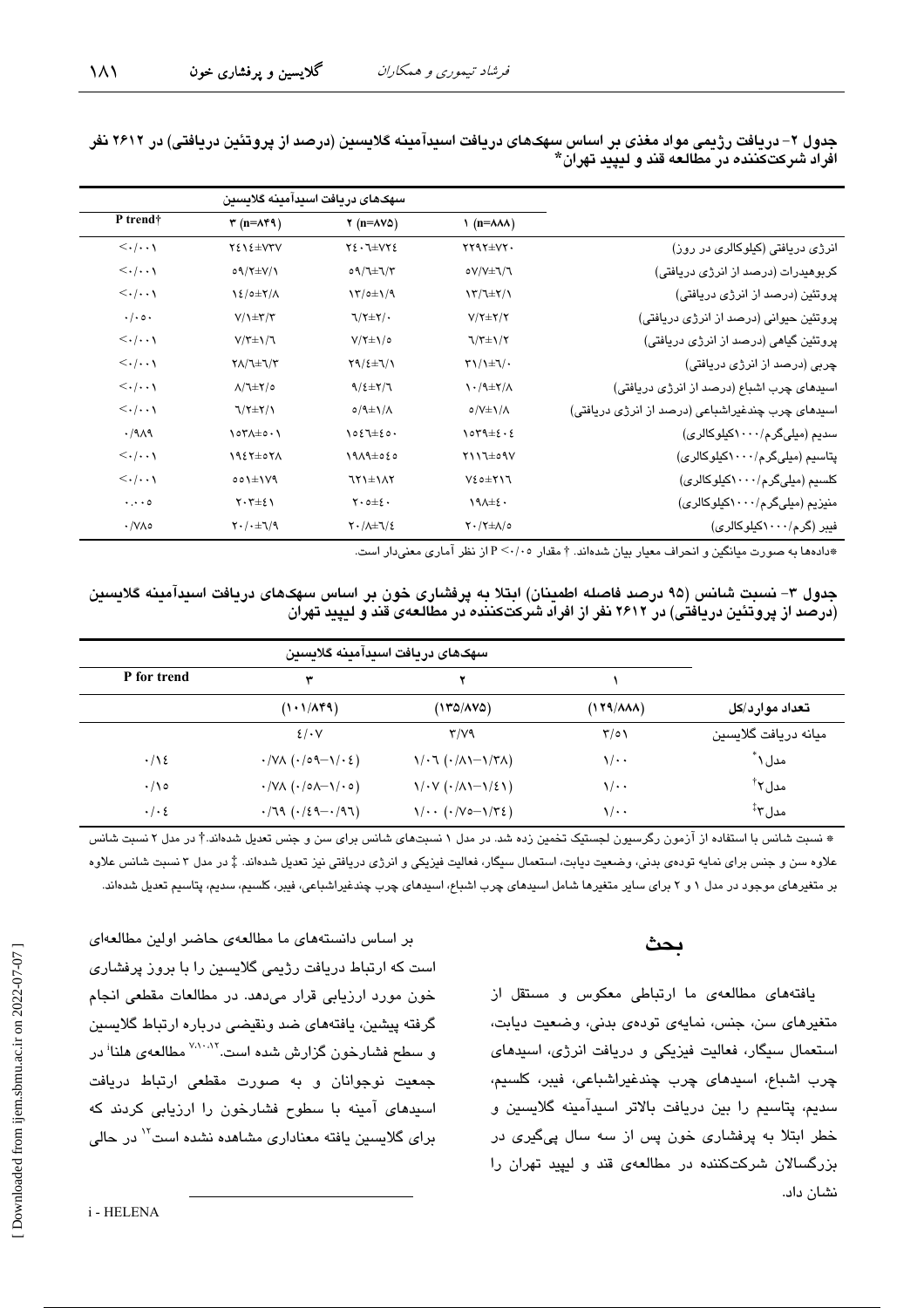۱۸۱

|                                                  | سهكهاى دريافت اسيدامينه گلايسين              |                                              |                                             |                                       |  |
|--------------------------------------------------|----------------------------------------------|----------------------------------------------|---------------------------------------------|---------------------------------------|--|
|                                                  | $\eta$ (n= $\lambda\lambda\lambda$ )         | $\gamma$ (n= $\Delta V\Delta$ )              | $\mathbf{r}$ (n= $\mathbf{A} \mathbf{f}$ ۹) | P trend†                              |  |
| انرژی دریافتی (کیلوکالری در روز)                 | $YYYY \pm VY$                                | $Y\xi \cdot \mathbb{I} \pm \mathsf{V} Y \xi$ | $Y\S1\S\pm VYV$                             | $\langle \cdot   \cdot \cdot \rangle$ |  |
| کربوهیدرات (درصد از انرژی دریافتی)               | oV/V±J/J                                     | $09/7 \pm 7/7$                               | $09/Y \pm V/\gamma$                         | $\langle \cdot   \cdot \cdot \rangle$ |  |
| پروتئین (درصد از انرژی دریافتی)                  | $\frac{1}{\sqrt{2}}$                         | $\frac{1}{\sqrt{2}}$                         | $\frac{1}{2}$                               | $\langle \cdot   \cdot \cdot \rangle$ |  |
| پروٽئين حيواني (درصد از انرڙي دريافتي)           | $V/\Upsilon \pm \Upsilon/\Upsilon$           | $7/7\pm7/$                                   | $V/\left(\frac{1}{2}\right)$                | $\cdot/\cdot \circ \cdot$             |  |
| پروتئین گیاهی (درصد از انرژی دریافتی)            | $7/7 \pm 1/7$                                | $V/\tau \pm \chi/\circ$                      | $V/\tau \pm 1/\tau$                         | $\langle \cdot   \cdot \cdot \rangle$ |  |
| چربی (درصد از انرژی دریافتی)                     | $\Upsilon\setminus\Upsilon\pm\Upsilon/\cdot$ | $Y9/\xi \pm 1/\gamma$                        | $Y/\text{L} \pm \text{L}/\text{L}$          | $\langle \cdot   \cdot \cdot \rangle$ |  |
| اسپدهای چرب اشباع (درصد از انرژی دریافتی)        | $\lambda + \frac{1}{2}$                      | $9/2\pm7/7$                                  | $\Lambda/\tau \pm \Upsilon/\circ$           | $\langle \cdot   \cdot \cdot \rangle$ |  |
| اسیدهای چرب چندغیراشباعی (درصد از انرژی دریافتی) | $o/V \pm \lambda / \lambda$                  | $0/9$ $\pm$ $1/4$                            | $7/7\pm7/1$                                 | $\langle \cdot   \cdot \cdot \rangle$ |  |
| سدیم (میلیگرم/۱۰۰۰کیلوکالری)                     | $\sqrt{0}$                                   | $1027 \pm 20$                                | $\lambda$                                   | .79A9                                 |  |
| پتاسیم (میلیگرم/۱۰۰۰کیلوکالری)                   | $Y \wedge Y^{\pm o} \wedge Y$                | $1919 \pm 020$                               | 1927±071                                    | $\langle \cdot   \cdot \cdot \rangle$ |  |
| کلسیم (میلیگرم/۱۰۰۰کیلوکالری)                    | $V\S$ $0 \pm Y$ $V$                          | $751 \pm 175$                                | $001 \pm 109$                               | $\langle \cdot   \cdot \cdot \rangle$ |  |
| منیزیم (میلیگرم/۱۰۰۰کیلوکالری)                   | $19A \pm 2.$                                 | $Y \cdot 0 = \epsilon \cdot$                 | $Y \cdot Y \pm \xi Y$                       | $\cdot \cdot \cdot \circ$             |  |
| فیبر (گر م/۱۰۰۰کیلو کالری)                       | $Y \cdot / Y \pm \Lambda / o$                | $Y \cdot / \lambda \pm 1/\xi$                | $Y \cdot / \cdot \pm 1/9$                   | $\cdot$ /V/ $\circ$                   |  |

جدول ۲– دریافت رژیمی مواد مغذی بر اساس سهکهای دریافت اسبدآمینه گلایسین (درصد از پروتئین دریافتی) در ۲۶۱۲ نفر **افراد شرکتکننده در مطالعه قند و لیپید تهران\*** 

\*دادهها به صورت میانگین و انحراف معیار بیان شدهاند. † مقدار ۴٬۰۰۰ از نظر آماری معنیدار است.

جدول ۳- نسبت شانس (۹۵ درصد فاصله اطمینان) ابتلا به پرفشاری خون بر اساس سهکهای دریافت اسیدامینه گلایسین (درصد از پروتئین دریافتی) در ۲۶۱۲ نفر از افراد شرکتکننده در مطالعهی قند و لیپید تهران

| P for trend     | ٣                                                                   |                                                             |                               |                      |
|-----------------|---------------------------------------------------------------------|-------------------------------------------------------------|-------------------------------|----------------------|
|                 | (1.1/AFA)                                                           | (۱۳۵/۸۷۵)                                                   | $(179/\lambda\lambda\lambda)$ | تعداد موارد/کل       |
|                 | $2/\cdot V$                                                         | Y/V9                                                        | $\tau/\circ \iota$            | ميانه دريافت گلايسين |
| $\cdot/\gamma$  | $\cdot$ /VA ( $\cdot$ /09-1/ $\cdot$ {)                             | $\binom{1}{1}$ ( $\binom{1}{1}$ ) $\binom{1}{1}$            | $\sqrt{\cdot$ .               | مدل ۱ ً              |
| $\cdot/\rho$    | $\cdot$ /VA ( $\cdot$ / $\circ$ A $\rightarrow$ / $\cdot$ $\circ$ ) | $\binom{1}{\cdot}$ $\binom{1}{\cdot}$ $\binom{1}{\cdot}$    | $\sqrt{\cdot$ .               | ْ مدل ۲              |
| $\cdot/\cdot\,$ | $\cdot$ /79 ( $\cdot$ /29 - $\cdot$ /97)                            | $\gamma/\cdots$ ( $\cdot/\gamma$ 0- $\gamma/\tau\epsilon$ ) | $\sqrt{\cdot \cdot \cdot}$    | َمدل ۲َّ             |

\* نسبت شانس با استفاده از آزمون رگرسیون لجستیک تخمین زده شد. در مدل ۱ نسبتهای شانس برای سن و جنس تعدیل شدهاند.† در مدل ۲ نسبت شانس علاوه سن و جنس برای نمایه تودهی بدنی، وضعیت دیابت، استعمال سیگار، فعالیت فیزژی دریافتی نیز تعدیل شدهاند. ‡ در مدل ۳ نسبت شانس علاوه بر متغیرهای موجود در مدل ۱ و ۲ برای سایر متغیرها شامل اسیدهای چرب اشباع، اسیدهای چرب چندغیراشباعی، فیبر، کلسیم، سدیم، پتاسیم تعدیل شدهاند.

### **ىحث**

یافتههای مطالعهی ما ارتباطی معکوس و مستقل از متغیرهای سن، جنس، نمایهی تودهی بدنی، وضعیت دیابت، استعمال سیگار، فعالیت فیزیکی و دریافت انرژی، اسید*ه*ای چرب اشباع، اسیدهای چرب چندغیراشباعی، فیبر، کلسیم، سدیم، پتاسیم را بین دریافت بالاتر اسیدامینه گلایسین و خطر ابتلا به پرفشار*ی* خون پس از سه سال پیگیر*ی* در بزرگسالان شرکتکننده در مطالعهی قند و لیپید تهران را نشان داد.

بر اساس دانستههای ما مطالعهی حاضر اولین مطالعهای است که ارتباط دریافت رژیمی گلایسین را با بروز پرفشار*ی* خون مورد ارزیابی قرار میدهد. در مطالعات مقطعی انجام گرفته پیشین، یافته*ه*ای ضد ونقیضی درباره ارتباط گلایسین و سطح فشارخون گزارش شده است.<sup>۷٬۱۰٬۱۲</sup> مطالعهی هلنا<sup>:</sup> در جمعیت نوجوانان و به صورت مقطعی ارتباط دریافت اسیدهای امینه با سطوح فشارخون را ارزیابی کردند که برای گلایسین یافته معناداری مشاهده نشده است<sup>۱۲</sup> در حال*ی*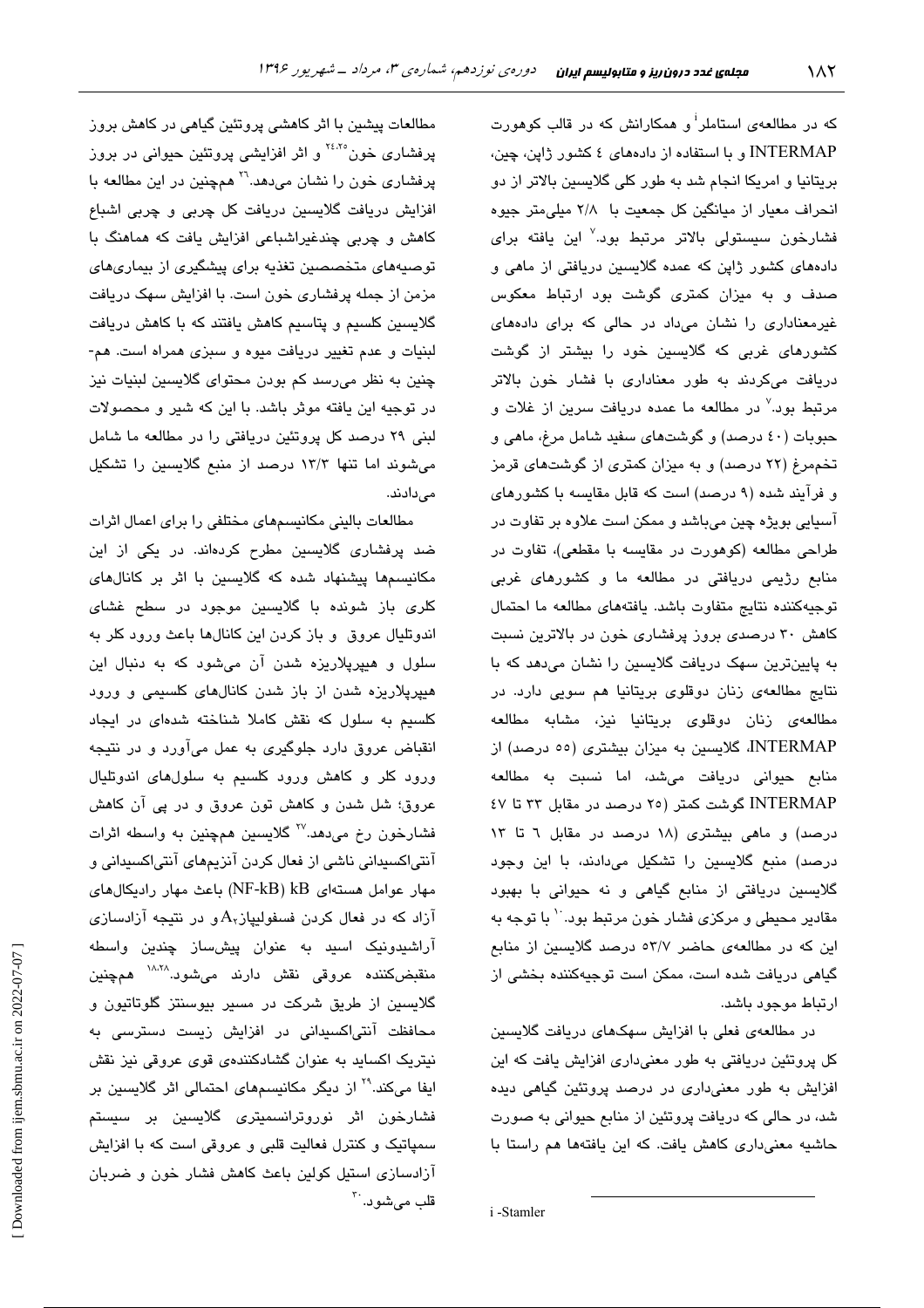که در مطالعهی استاملر<sup>ا</sup> و همکارانش که در قالب کوهورت INTERMAP و با استفاده از دادههای ٤ کشور ژاپن، چین، بریتانیا و امریکا انجام شد به طور کلی گلایسین بالاتر از دو انحراف معیار از میانگین کل جمعیت با ۲/۸ میلی متر جیوه فشارخون سیستولی بالاتر مرتبط بود.<sup>۷</sup> این یافته برا*ی* دادههای کشور ژاپن که عمده گلایسین دریافتی از ماهی و صدف و به میزان کمتری گوشت بود ارتباط معکوس غیرمعناداری را نشان میداد در حالی که برای دادههای کشورهای غربی که گلایسین خود را بیشتر از گوشت دریافت میکردند به طور معناداری با فشار خون بالاتر مرتبط بود.<sup>۷</sup> در مطالعه ما عمده دریافت سرین از غلات و حبوبات (٤٠ درصد) و گوشتهاى سفيد شامل مرغ، ماهي و تخممرغ (۲۲ درصد) و به میزان کمتری از گوشتهای قرمز و فرآیند شده (۹ درصد) است که قابل مقایسه با کشورهای آسيايي بويژه چين ميباشد و ممکن است علاوه بر تفاوت در طراحی مطالعه (کوهورت در مقایسه با مقطعی)، تفاوت در منابع رژیمی دریافتی در مطالعه ما و کشورهای غربی توجيه كننده نتايج متفاوت باشد. يافتههاى مطالعه ما احتمال کاهش ۳۰ درصدی بروز پرفشاری خون در بالاترین نسبت به پایینترین سهک دریافت گلایسین را نشان میدهد که با نتایج مطالعهی زنان دوقلوی بریتانیا هم سویی دارد. در مطالعهى زنان دوقلوى بريتانيا نيز، مشابه مطالعه INTERMAP، گلایسین به میزان بیشتری (٥٥ درصد) از منابع حیوانی دریافت میشد، اما نسبت به مطالعه INTERMAP گوشت کمتر (٢٥ درصد در مقابل ٣٣ تا ٤٧ درصد) و ماهی بیشتری (۱۸ درصد در مقابل ٦ تا ١٣ درصد) منبع گلایسین را تشکیل میدادند، با این وجود گلایسین دریافتی از منابع گیاهی و نه حیوانی با بهبود مقادیر محیطی و مرکز*ی* فشار خون مرتبط بود. `` با توجه به این که در مطالعهی حاضر ۵۳/۷ درصد گلایسین از منابع گیاهی دریافت شده است، ممکن است توجیهکننده بخشی از

در مطالعهی فعلی با افزایش سهکهای دریافت گلایسین کل پروتئین دریافتی به طور معنیداری افزایش یافت که این افزایش به طور معنیداری در درصد پروتئین گیاهی دیده شد، در حالی که دریافت پروتئین از منابع حیوانی به صورت حاشیه معنی داری کاهش یافت. که این یافتهها هم راستا با

ارتباط موجود باشد.

مطالعات پیشین با اثر کاهشی پروتئین گیاهی در کاهش بروز پرفشاری خون<sup>۲،۲۰</sup> و اثر افزایشی پروتئین حیوانی در بروز پرفشاری خون را نشان می،دهد.<sup>۲</sup>۱ همچنین در این مطالعه با افزایش دریافت گلایسین دریافت کل چربی و چربی اشباع کاهش و چربی چندغیراشباعی افزایش یافت که هماهنگ با توصیههای متخصصین تغذیه برای پیشگیری از بیماریهای مزمن از جمله پرفشاری خون است. با افزایش سهک دریافت گلایسین کلسیم و پتاسیم کاهش یافتند که با کاهش دریافت لبنيات و عدم تغيير دريافت ميوه و سبزى همراه است. هم-چنین به نظر میرسد کم بودن محتوای گلایسین لبنیات نیز در توجیه این یافته موثر باشد. با این که شیر و محصولات لبنی ۲۹ درصد کل پروتئین دریافتی را در مطالعه ما شامل میشوند اما تنها ۱۳/۳ درصد از منبع گلایسین را تشکیل مے دادند.

مطالعات بالینی مکانیسمهای مختلفی را برای اعمال اثرات ضد پرفشاری گلایسین مطرح کردهاند. در یکی از این مکانیسمها پیشنهاد شده که گلایسین با اثر بر کانالهای کلری باز شونده با گلایسین موجود در سطح غشای اندوتلیال عروق و باز کردن این کانالها باعث ورود کلر به سلول و هیپرپلاریزه شدن آن میشود که به دنبال این هیپرپلاریزه شدن از باز شدن کانالهای کلسیمی و ورود کلسیم به سلول که نقش کاملا شناخته شدهای در ایجاد انقباض عروق دارد جلوگیری به عمل میآورد و در نتیجه ورود کلر و کاهش ورود کلسیم به سلولهای اندوتلیال عروق؛ شل شدن و کاهش تون عروق و در پی آن کاهش فشارخون رخ میدهد.<sup>۲۷</sup> گلایسین همچنین به واسطه اثرات آنتیاکسیدانی ناشی از فعال کردن آنزیمهای آنتیاکسیدانی و مهار عوامل هستهای NF-kB) kB) باعث مهار رادیکالهای آزاد که در فعال کردن فسفولیپاز $A_{\mathsf{v}}$ و در نتیجه آزادسازی آراشیدونیک اسید به عنوان پیشساز چندین واسطه منقبضکننده عروقی نقش دارند میشود.<sup>۱۸٬۲۸</sup> همچنین گلایسین از طریق شرکت در مسیر بیوسنتز گلوتاتیون و محافظت آنتی|کسیدانی در افزایش زیست دسترسی به نیتریک اکساید به عنوان گشادکنندهی قوی عروقی نیز نقش ایفا میکند.<sup>۲۹</sup> از دیگر مکانی*س*مهای احتمالی اثر گلایسین بر فشارخون اثر نوروترانسىمىترى گلايسىن بر سىستم سمپاتیک و کنترل فعالیت قلبی و عروقی است که با افزایش آزادسازی استیل کولین باعث کاهش فشار خون و ضربان قلب میشود. <sup>۳۰</sup>

i-Stamler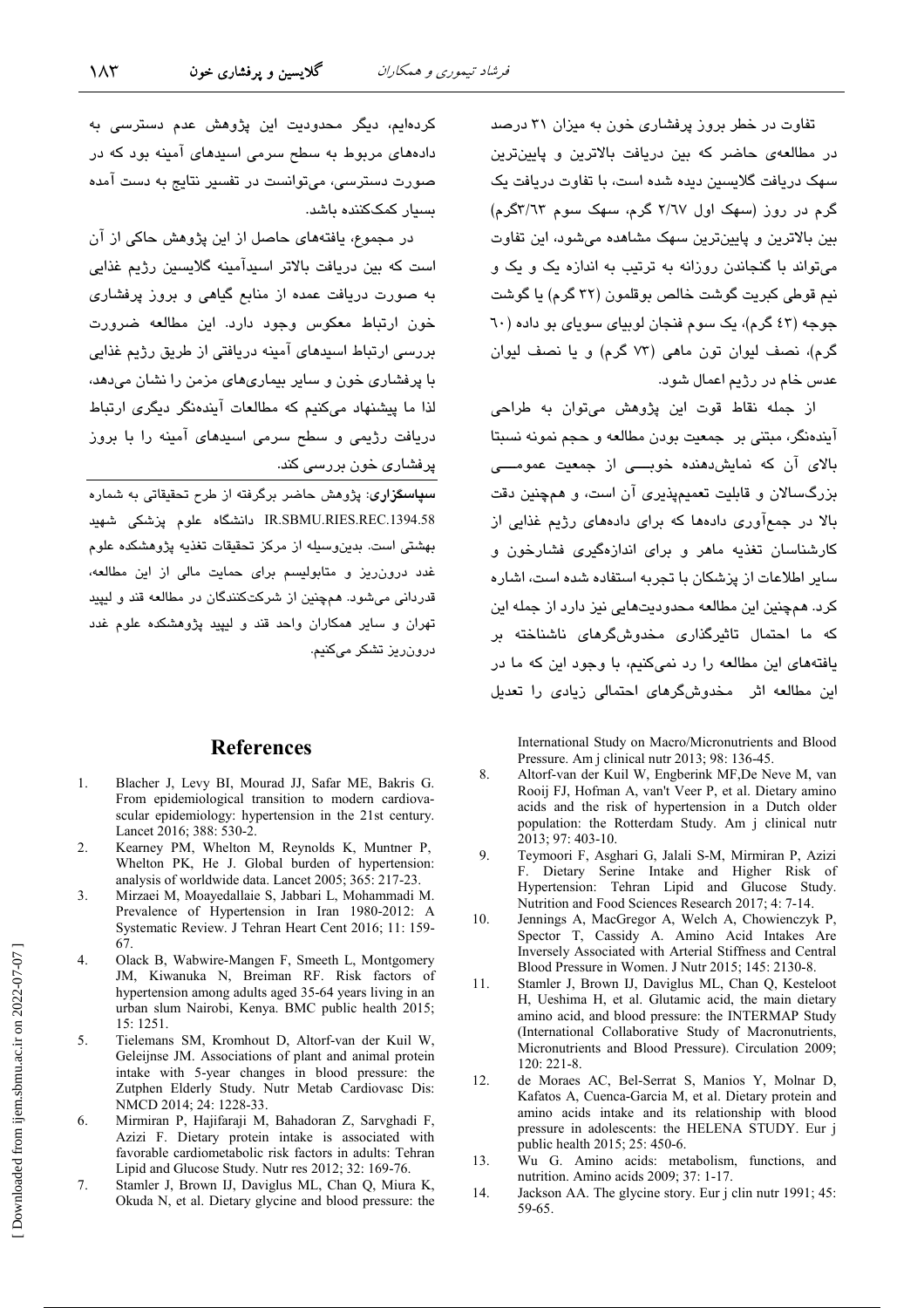تفاوت در خطر بروز پرفشاری خون به میزان ۳۱ درصد در مطالعهی حاضر که بین دریافت بالاترین و پایینترین سهک دریافت گلاسیین دیده شده است، یا تفاوت دریافت یک گرم در روز (سهک اول ۲/٦۷ گرم، سهک سوم ۳/٦٣گرم) بین بالاترین و پایینترین سهک مشاهده می شود، این تفاوت می تواند یا گنجاندن روزانه به ترتیب به اندازه یک و یک و نيم قوطي كبريت گوشت خالص بوقلمون (٣٢ گرم) يا گوشت جوجه (٤٣ گرم)، یک سوم فنجان لوبیای سویای بو داده (٦٠ گرم)، نصف لبوان تون ماهی (۷۳ گرم) و با نصف لبوان عدس خام در رژیم اعمال شود.

از جمله نقاط قوت این پژوهش میتوان به طراحی آيندهنگر، ميتني پر جمعيت پورن مطالعه و حجم نمونه نسبتا بالای آن که نمایش دهنده خوبـــی از جمعیت عمومـــی بزرگسالان و قابلیت تعمیمپذیری آن است، و همچنین دقت ۔<br>بالا در جمعآوری دادہھا که برای دادہھای رژیم غذایی از کارشناسان تغذیه ماهر و برای اندازهگیری فشارخون و سایر اطلاعات از پزشکان با تجربه استفاده شده است، اشاره کرد. همچنین این مطالعه محدودیتهایی نیز دارد از جمله این که ما احتمال تاثیرگذاری مخدوشگرهای ناشناخته بر یافتههای این مطالعه را رد نمیکنیم، با وجود این که ما در این مطالعه اثر مخدوشگرهای احتمالی زیادی را تعدیل

International Study on Macro/Micronutrients and Blood Pressure. Am i clinical nutr 2013: 98: 136-45.

- 8. Altorf-van der Kuil W, Engberink MF, De Neve M, van Rooij FJ, Hofman A, van't Veer P, et al. Dietary amino acids and the risk of hypertension in a Dutch older population: the Rotterdam Study. Am j clinical nutr 2013; 97: 403-10.
- $\mathbf{Q}$ Teymoori F, Asghari G, Jalali S-M, Mirmiran P, Azizi F. Dietary Serine Intake and Higher Risk of Hypertension: Tehran Lipid and Glucose Study. Nutrition and Food Sciences Research 2017; 4: 7-14.
- 10. Jennings A, MacGregor A, Welch A, Chowienczyk P, Spector T, Cassidy A. Amino Acid Intakes Are Inversely Associated with Arterial Stiffness and Central Blood Pressure in Women. J Nutr 2015; 145: 2130-8.
- 11. Stamler J, Brown IJ, Daviglus ML, Chan Q, Kesteloot H, Ueshima H, et al. Glutamic acid, the main dietary amino acid, and blood pressure: the INTERMAP Study (International Collaborative Study of Macronutrients, Micronutrients and Blood Pressure). Circulation 2009;  $120:221-8.$
- de Moraes AC, Bel-Serrat S, Manios Y, Molnar D,  $12<sup>°</sup>$ Kafatos A, Cuenca-Garcia M, et al. Dietary protein and amino acids intake and its relationship with blood pressure in adolescents: the HELENA STUDY. Eur j public health 2015; 25: 450-6.
- 13. Wu G. Amino acids: metabolism, functions, and nutrition. Amino acids 2009; 37: 1-17.
- 14 Jackson AA. The glycine story. Eur j clin nutr 1991; 45: 59-65.

کردهایم، دیگر محدودیت این پژوهش عدم دسترسی به دادههای مربوط به سطح سرمی اسبدهای آمینه بود که در صورت دسترسی، میتوانست در تفسیر نتایج به دست آمده بسیار کمککننده باشد.

در مجموع، یافتههای حاصل از این پژوهش حاکی از آن است که بین دریافت بالاتر استدآمینه گلاستین رژیم غذایی به صورت دریافت عمده از منابع گیاهی و بروز پرفشاری خون ارتباط معکوس وجود دارد. این مطالعه ضرورت بررسی ارتباط استدهای آمینه دریافتی از طریق رژیم غذایی با پرفشاری خون و سایر بیماریهای مزمن را نشان میدهد، لذا ما پیشنهاد میکنیم که مطالعات آیندهنگر دیگری ارتباط دریافت رژیمی و سطح سرمی استدهای آمینه را یا پروز پرفشاری خون بررسی کند.

<mark>سپاسگزاری</mark>: پژوهش حاضر برگرفته از طرح تحقیقاتی به شماره IR.SBMU.RIES.REC.1394.58 دانشگاه علوم يزشكي شهيد بهشتی است. بدین وسیله از مرکز تحقیقات تغذیه پژوهشکده علوم .<br>غدد درون ریز و متابولیسم برای حمایت مالی از این مطالعه، قدردانی میشود. همچنین از شرکتکنندگان در مطالعه قند و لیپید تهران و سایر همکاران واحد قند و لیپید پژوهشکده علوم غدد درون ریز تشکر مے کنیم.

### **References**

- $\mathbf{1}$ Blacher J, Levy BI, Mourad JJ, Safar ME, Bakris G. From epidemiological transition to modern cardiovascular epidemiology: hypertension in the 21st century. Lancet 2016; 388: 530-2.
- Kearney PM, Whelton M, Reynolds K, Muntner P,  $\mathfrak{D}$ Whelton PK. He J. Global burden of hypertension: analysis of worldwide data. Lancet 2005; 365: 217-23.
- $\mathcal{E}$ Mirzaei M, Moayedallaie S, Jabbari L, Mohammadi M. Prevalence of Hypertension in Iran 1980-2012: A Systematic Review. J Tehran Heart Cent 2016; 11: 159-67
- $\overline{4}$ . Olack B, Wabwire-Mangen F, Smeeth L, Montgomery JM, Kiwanuka N, Breiman RF. Risk factors of hypertension among adults aged 35-64 years living in an urban slum Nairobi, Kenya. BMC public health 2015;  $15 \cdot 1251$
- 5. Tielemans SM, Kromhout D, Altorf-van der Kuil W, Geleijnse JM. Associations of plant and animal protein intake with 5-year changes in blood pressure: the Zutphen Elderly Study. Nutr Metab Cardiovasc Dis: NMCD 2014; 24: 1228-33.
- Mirmiran P, Hajifaraji M, Bahadoran Z, Sarvghadi F, 6 Azizi F. Dietary protein intake is associated with favorable cardiometabolic risk factors in adults: Tehran Lipid and Glucose Study. Nutr res 2012: 32: 169-76.
- $\overline{7}$ . Stamler J, Brown IJ, Daviglus ML, Chan Q, Miura K, Okuda N, et al. Dietary glycine and blood pressure: the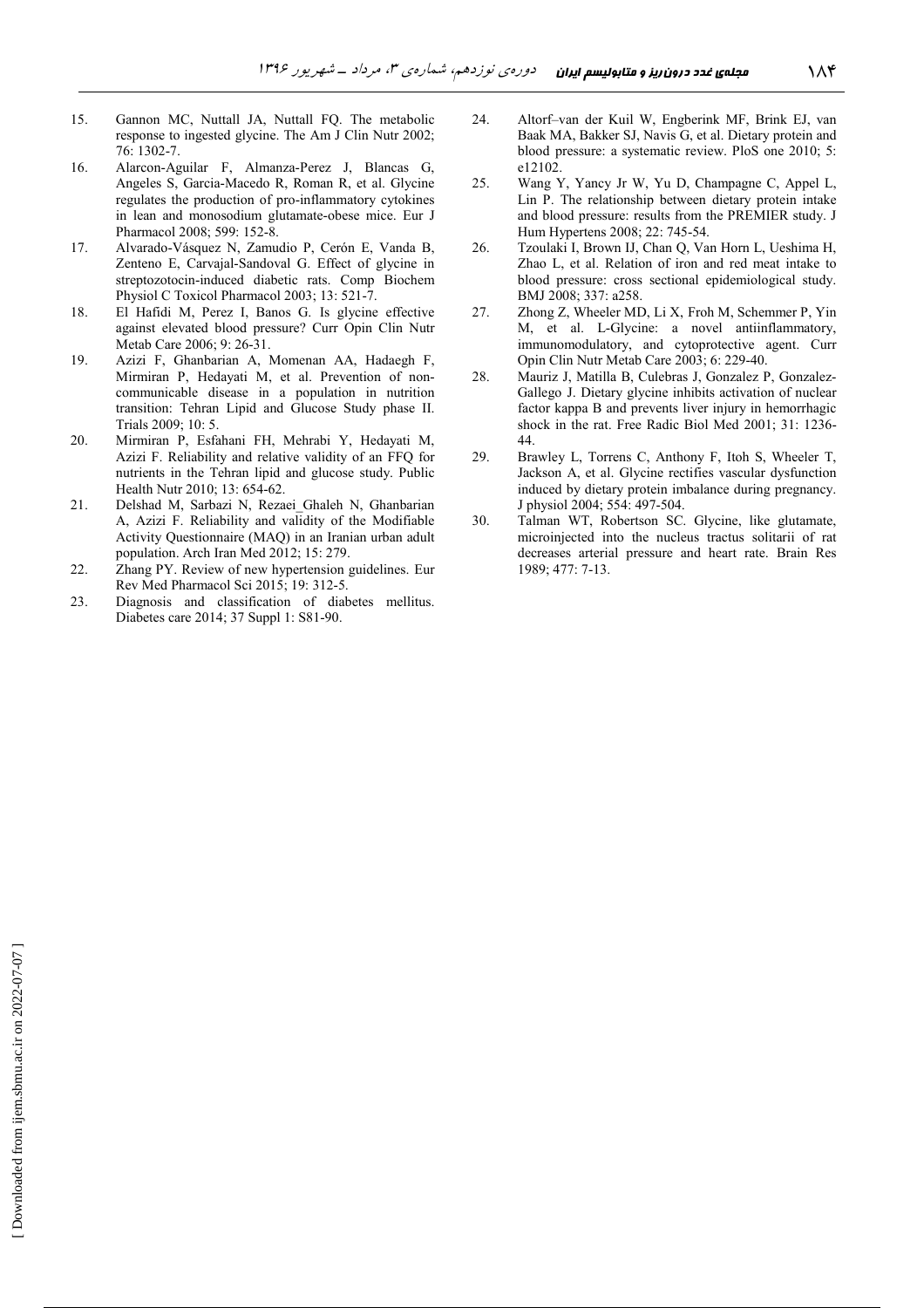- 15. Gannon MC, Nuttall JA, Nuttall FQ. The metabolic response to ingested glycine. The Am J Clin Nutr 2002; 76: 1302-7.
- 16. Alarcon-Aguilar F, Almanza-Perez J, Blancas G, Angeles S, Garcia-Macedo R, Roman R, et al. Glycine regulates the production of pro-inflammatory cytokines in lean and monosodium glutamate-obese mice. Eur J Pharmacol 2008; 599: 152-8.
- 17. Alvarado-Vásquez N, Zamudio P, Cerón E, Vanda B, Zenteno E, Carvajal-Sandoval G. Effect of glycine in streptozotocin-induced diabetic rats. Comp Biochem Physiol C Toxicol Pharmacol 2003; 13: 521-7.
- 18. El Hafidi M, Perez I, Banos G. Is glycine effective against elevated blood pressure? Curr Opin Clin Nutr Metab Care 2006; 9: 26-31.
- 19. Azizi F, Ghanbarian A, Momenan AA, Hadaegh F, Mirmiran P, Hedayati M, et al. Prevention of noncommunicable disease in a population in nutrition transition: Tehran Lipid and Glucose Study phase II. Trials 2009; 10: 5.
- 20. Mirmiran P, Esfahani FH, Mehrabi Y, Hedayati M, Azizi F. Reliability and relative validity of an FFQ for nutrients in the Tehran lipid and glucose study. Public Health Nutr 2010; 13: 654-62.
- 21. Delshad M, Sarbazi N, Rezaei\_Ghaleh N, Ghanbarian A, Azizi F. Reliability and validity of the Modifiable Activity Questionnaire (MAQ) in an Iranian urban adult population. Arch Iran Med 2012; 15: 279.
- 22. Zhang PY. Review of new hypertension guidelines. Eur Rev Med Pharmacol Sci 2015; 19: 312-5.
- 23. Diagnosis and classification of diabetes mellitus. Diabetes care 2014; 37 Suppl 1: S81-90.
- 24. Altorf–van der Kuil W, Engberink MF, Brink EJ, van Baak MA, Bakker SJ, Navis G, et al. Dietary protein and blood pressure: a systematic review. PloS one 2010; 5: e12102.
- 25. Wang Y, Yancy Jr W, Yu D, Champagne C, Appel L, Lin P. The relationship between dietary protein intake and blood pressure: results from the PREMIER study. J Hum Hypertens 2008; 22: 745-54.
- 26. Tzoulaki I, Brown IJ, Chan Q, Van Horn L, Ueshima H, Zhao L, et al. Relation of iron and red meat intake to blood pressure: cross sectional epidemiological study. BMJ 2008; 337: a258.
- 27. Zhong Z, Wheeler MD, Li X, Froh M, Schemmer P, Yin M, et al. L-Glycine: a novel antiinflammatory, immunomodulatory, and cytoprotective agent. Curr Opin Clin Nutr Metab Care 2003; 6: 229-40.
- 28. Mauriz J, Matilla B, Culebras J, Gonzalez P, Gonzalez-Gallego J. Dietary glycine inhibits activation of nuclear factor kappa B and prevents liver injury in hemorrhagic shock in the rat. Free Radic Biol Med 2001; 31: 1236- 44.
- 29. Brawley L, Torrens C, Anthony F, Itoh S, Wheeler T, Jackson A, et al. Glycine rectifies vascular dysfunction induced by dietary protein imbalance during pregnancy. J physiol 2004; 554: 497-504.
- 30. Talman WT, Robertson SC. Glycine, like glutamate, microinjected into the nucleus tractus solitarii of rat decreases arterial pressure and heart rate. Brain Res 1989; 477: 7-13.